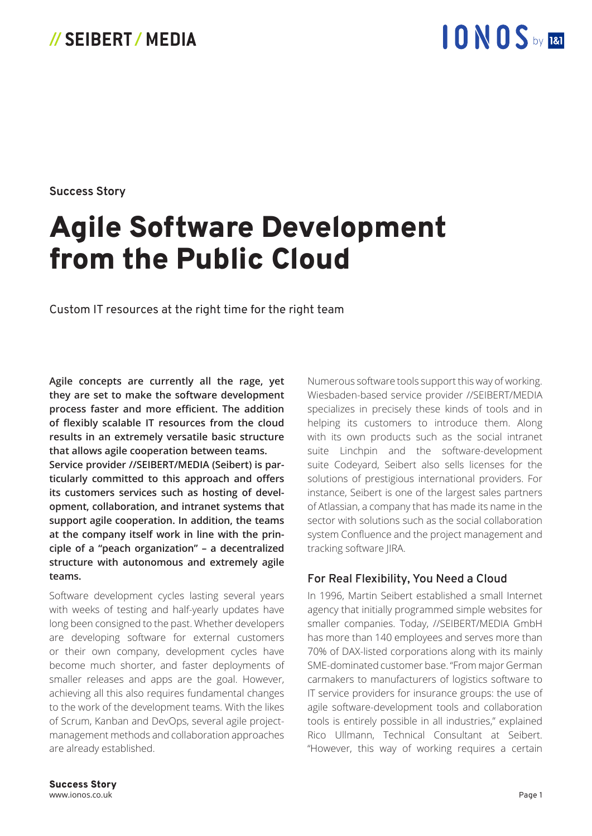## 10NOS by 181

**Success Story**

## Agile Software Development from the Public Cloud

Custom IT resources at the right time for the right team

**Agile concepts are currently all the rage, yet they are set to make the software development process faster and more efficient. The addition of flexibly scalable IT resources from the cloud results in an extremely versatile basic structure that allows agile cooperation between teams.** 

**Service provider //SEIBERT/MEDIA (Seibert) is particularly committed to this approach and offers its customers services such as hosting of development, collaboration, and intranet systems that support agile cooperation. In addition, the teams at the company itself work in line with the principle of a "peach organization" – a decentralized structure with autonomous and extremely agile teams.**

Software development cycles lasting several years with weeks of testing and half-yearly updates have long been consigned to the past. Whether developers are developing software for external customers or their own company, development cycles have become much shorter, and faster deployments of smaller releases and apps are the goal. However, achieving all this also requires fundamental changes to the work of the development teams. With the likes of Scrum, Kanban and DevOps, several agile projectmanagement methods and collaboration approaches are already established.

Numerous software tools support this way of working. Wiesbaden-based service provider //SEIBERT/MEDIA specializes in precisely these kinds of tools and in helping its customers to introduce them. Along with its own products such as the social intranet suite Linchpin and the software-development suite Codeyard, Seibert also sells licenses for the solutions of prestigious international providers. For instance, Seibert is one of the largest sales partners of Atlassian, a company that has made its name in the sector with solutions such as the social collaboration system Confluence and the project management and tracking software JIRA.

### **For Real Flexibility, You Need a Cloud**

In 1996, Martin Seibert established a small Internet agency that initially programmed simple websites for smaller companies. Today, //SEIBERT/MEDIA GmbH has more than 140 employees and serves more than 70% of DAX-listed corporations along with its mainly SME-dominated customer base. "From major German carmakers to manufacturers of logistics software to IT service providers for insurance groups: the use of agile software-development tools and collaboration tools is entirely possible in all industries," explained Rico Ullmann, Technical Consultant at Seibert. "However, this way of working requires a certain

Success Story www.ionos.co.uk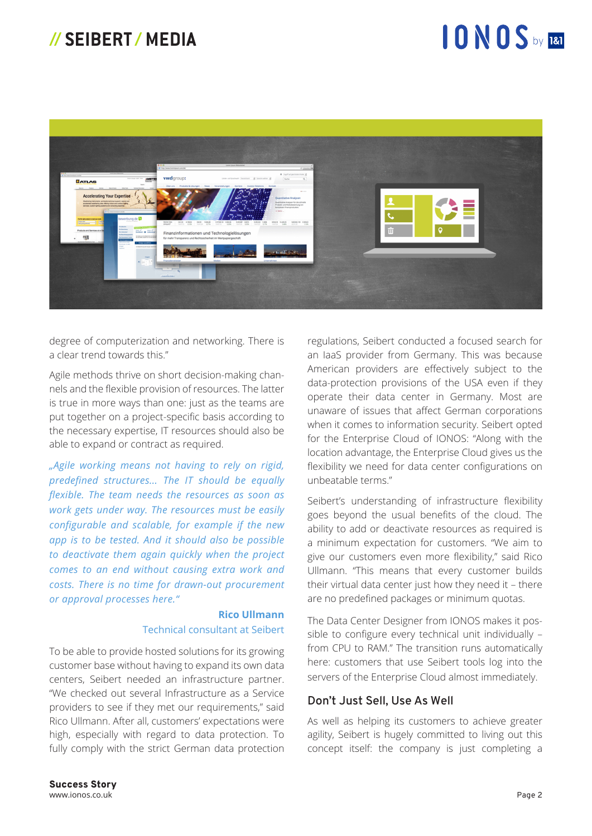## 10NOS by 180



degree of computerization and networking. There is a clear trend towards this."

Agile methods thrive on short decision-making channels and the flexible provision of resources. The latter is true in more ways than one: just as the teams are put together on a project-specific basis according to the necessary expertise, IT resources should also be able to expand or contract as required.

*"Agile working means not having to rely on rigid, predefined structures... The IT should be equally flexible. The team needs the resources as soon as work gets under way. The resources must be easily configurable and scalable, for example if the new app is to be tested. And it should also be possible to deactivate them again quickly when the project comes to an end without causing extra work and costs. There is no time for drawn-out procurement or approval processes here."*

#### **Rico Ullmann**  Technical consultant at Seibert

To be able to provide hosted solutions for its growing customer base without having to expand its own data centers, Seibert needed an infrastructure partner. "We checked out several Infrastructure as a Service providers to see if they met our requirements," said Rico Ullmann. After all, customers' expectations were high, especially with regard to data protection. To fully comply with the strict German data protection

regulations, Seibert conducted a focused search for an IaaS provider from Germany. This was because American providers are effectively subject to the data-protection provisions of the USA even if they operate their data center in Germany. Most are unaware of issues that affect German corporations when it comes to information security. Seibert opted for the Enterprise Cloud of IONOS: "Along with the location advantage, the Enterprise Cloud gives us the flexibility we need for data center configurations on unbeatable terms."

Seibert's understanding of infrastructure flexibility goes beyond the usual benefits of the cloud. The ability to add or deactivate resources as required is a minimum expectation for customers. "We aim to give our customers even more flexibility," said Rico Ullmann. "This means that every customer builds their virtual data center just how they need it – there are no predefined packages or minimum quotas.

The Data Center Designer from IONOS makes it possible to configure every technical unit individually – from CPU to RAM." The transition runs automatically here: customers that use Seibert tools log into the servers of the Enterprise Cloud almost immediately.

### **Don't Just Sell, Use As Well**

As well as helping its customers to achieve greater agility, Seibert is hugely committed to living out this concept itself: the company is just completing a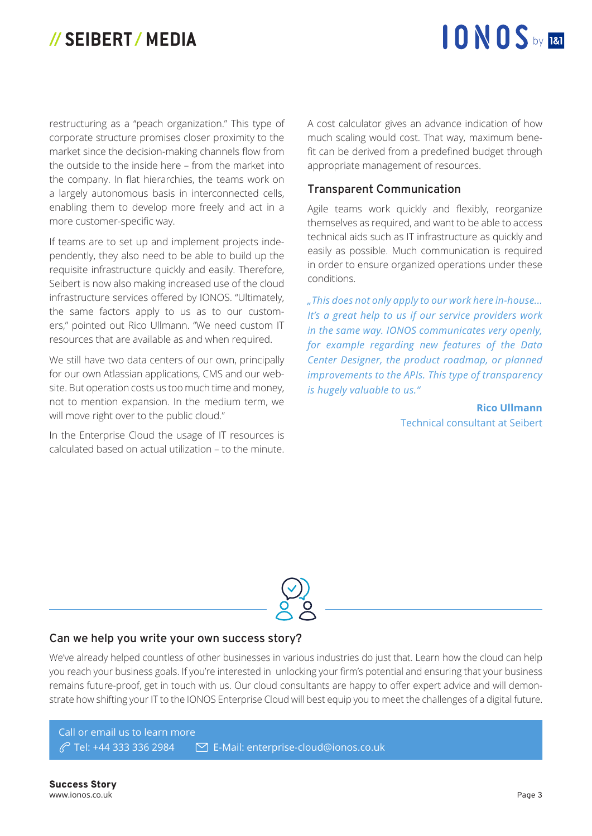# 10 NOS by 181

restructuring as a "peach organization." This type of corporate structure promises closer proximity to the market since the decision-making channels flow from the outside to the inside here – from the market into the company. In flat hierarchies, the teams work on a largely autonomous basis in interconnected cells, enabling them to develop more freely and act in a more customer-specific way.

If teams are to set up and implement projects independently, they also need to be able to build up the requisite infrastructure quickly and easily. Therefore, Seibert is now also making increased use of the cloud infrastructure services offered by IONOS. "Ultimately, the same factors apply to us as to our customers," pointed out Rico Ullmann. "We need custom IT resources that are available as and when required.

We still have two data centers of our own, principally for our own Atlassian applications, CMS and our website. But operation costs us too much time and money, not to mention expansion. In the medium term, we will move right over to the public cloud."

In the Enterprise Cloud the usage of IT resources is calculated based on actual utilization – to the minute.

A cost calculator gives an advance indication of how much scaling would cost. That way, maximum benefit can be derived from a predefined budget through appropriate management of resources.

#### **Transparent Communication**

Agile teams work quickly and flexibly, reorganize themselves as required, and want to be able to access technical aids such as IT infrastructure as quickly and easily as possible. Much communication is required in order to ensure organized operations under these conditions.

*"This does not only apply to our work here in-house... It's a great help to us if our service providers work in the same way. IONOS communicates very openly, for example regarding new features of the Data Center Designer, the product roadmap, or planned improvements to the APIs. This type of transparency is hugely valuable to us."*

> **Rico Ullmann**  Technical consultant at Seibert



### **Can we help you write your own success story?**

We've already helped countless of other businesses in various industries do just that. Learn how the cloud can help you reach your business goals. If you're interested in unlocking your firm's potential and ensuring that your business remains future-proof, get in touch with us. Our cloud consultants are happy to offer expert advice and will demonstrate how shifting your IT to the IONOS Enterprise Cloud will best equip you to meet the challenges of a digital future.

Call or email us to learn more Tel: +44 333 336 2984 E-Mail: enterprise-cloud@ionos.co.uk